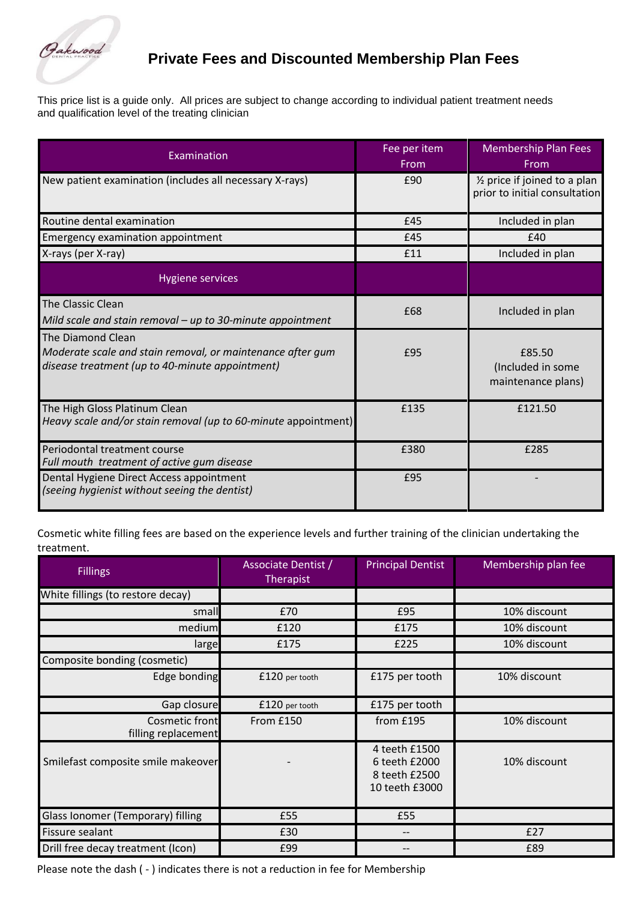

## **Private Fees and Discounted Membership Plan Fees**

This price list is a guide only. All prices are subject to change according to individual patient treatment needs and qualification level of the treating clinician

| Examination                                                                                                                        | Fee per item<br>From | <b>Membership Plan Fees</b><br>From                                        |
|------------------------------------------------------------------------------------------------------------------------------------|----------------------|----------------------------------------------------------------------------|
| New patient examination (includes all necessary X-rays)                                                                            | £90                  | 1/ <sub>2</sub> price if joined to a plan<br>prior to initial consultation |
| Routine dental examination                                                                                                         | £45                  | Included in plan                                                           |
| Emergency examination appointment                                                                                                  | £45                  | £40                                                                        |
| X-rays (per X-ray)                                                                                                                 | £11                  | Included in plan                                                           |
| <b>Hygiene services</b>                                                                                                            |                      |                                                                            |
| The Classic Clean<br>Mild scale and stain removal - up to 30-minute appointment                                                    | £68                  | Included in plan                                                           |
| The Diamond Clean<br>Moderate scale and stain removal, or maintenance after gum<br>disease treatment (up to 40-minute appointment) | £95                  | £85.50<br>(Included in some<br>maintenance plans)                          |
| The High Gloss Platinum Clean<br>Heavy scale and/or stain removal (up to 60-minute appointment)                                    | £135                 | £121.50                                                                    |
| Periodontal treatment course<br>Full mouth treatment of active gum disease                                                         | £380                 | £285                                                                       |
| Dental Hygiene Direct Access appointment<br>(seeing hygienist without seeing the dentist)                                          | £95                  |                                                                            |

Cosmetic white filling fees are based on the experience levels and further training of the clinician undertaking the treatment.

| <b>Fillings</b>                       | Associate Dentist /<br>Therapist | <b>Principal Dentist</b>                                          | Membership plan fee |
|---------------------------------------|----------------------------------|-------------------------------------------------------------------|---------------------|
| White fillings (to restore decay)     |                                  |                                                                   |                     |
| small                                 | £70                              | £95                                                               | 10% discount        |
| medium                                | £120                             | £175                                                              | 10% discount        |
| large                                 | £175                             | £225                                                              | 10% discount        |
| Composite bonding (cosmetic)          |                                  |                                                                   |                     |
| Edge bonding                          | £120 per tooth                   | £175 per tooth                                                    | 10% discount        |
| Gap closure                           | £120 per tooth                   | £175 per tooth                                                    |                     |
| Cosmetic front<br>filling replacement | From £150                        | from £195                                                         | 10% discount        |
| Smilefast composite smile makeover    |                                  | 4 teeth £1500<br>6 teeth £2000<br>8 teeth £2500<br>10 teeth £3000 | 10% discount        |
| Glass Ionomer (Temporary) filling     | £55                              | £55                                                               |                     |
| Fissure sealant                       | £30                              | $-$                                                               | £27                 |
| Drill free decay treatment (Icon)     | £99                              |                                                                   | £89                 |

Please note the dash ( - ) indicates there is not a reduction in fee for Membership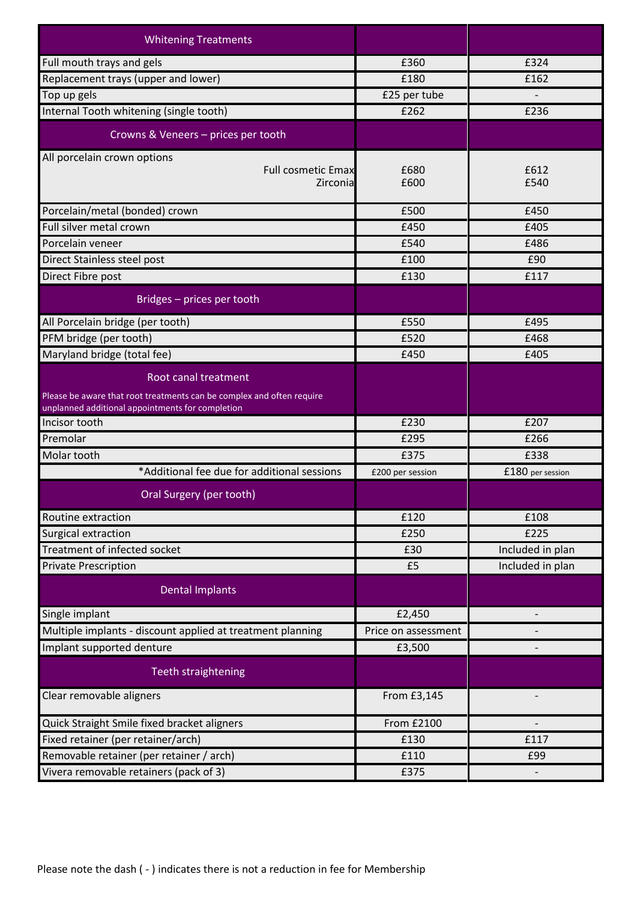| <b>Whitening Treatments</b>                                                                   |                     |                  |
|-----------------------------------------------------------------------------------------------|---------------------|------------------|
| Full mouth trays and gels                                                                     | £360                | £324             |
| Replacement trays (upper and lower)                                                           | £180                | £162             |
| Top up gels                                                                                   | £25 per tube        |                  |
| Internal Tooth whitening (single tooth)                                                       | £262                | £236             |
| Crowns & Veneers - prices per tooth                                                           |                     |                  |
| All porcelain crown options<br><b>Full cosmetic Emax</b><br>Zirconia                          | £680<br>£600        | £612<br>£540     |
| Porcelain/metal (bonded) crown                                                                | £500                | £450             |
| Full silver metal crown                                                                       | £450                | £405             |
| Porcelain veneer                                                                              | £540                | £486             |
| Direct Stainless steel post                                                                   | £100                | £90              |
| Direct Fibre post                                                                             | £130                | £117             |
| Bridges - prices per tooth                                                                    |                     |                  |
| All Porcelain bridge (per tooth)                                                              | £550                | £495             |
| PFM bridge (per tooth)                                                                        | £520                | £468             |
| Maryland bridge (total fee)                                                                   | £450                | £405             |
| Root canal treatment<br>Please be aware that root treatments can be complex and often require |                     |                  |
| unplanned additional appointments for completion                                              | £230                | £207             |
| Incisor tooth<br>Premolar                                                                     | £295                | £266             |
| Molar tooth                                                                                   | £375                | £338             |
| *Additional fee due for additional sessions                                                   | £200 per session    | £180 per session |
| Oral Surgery (per tooth)                                                                      |                     |                  |
| Routine extraction                                                                            | £120                | £108             |
| Surgical extraction                                                                           | £250                | £225             |
| Treatment of infected socket                                                                  | £30                 | Included in plan |
| <b>Private Prescription</b>                                                                   | £5                  | Included in plan |
| <b>Dental Implants</b>                                                                        |                     |                  |
| Single implant                                                                                | £2,450              |                  |
| Multiple implants - discount applied at treatment planning                                    | Price on assessment |                  |
| Implant supported denture                                                                     | £3,500              |                  |
| Teeth straightening                                                                           |                     |                  |
| Clear removable aligners                                                                      | From £3,145         |                  |
| Quick Straight Smile fixed bracket aligners                                                   | From £2100          |                  |
| Fixed retainer (per retainer/arch)                                                            | £130                | £117             |
| Removable retainer (per retainer / arch)                                                      | £110                | £99              |
| Vivera removable retainers (pack of 3)                                                        | £375                |                  |